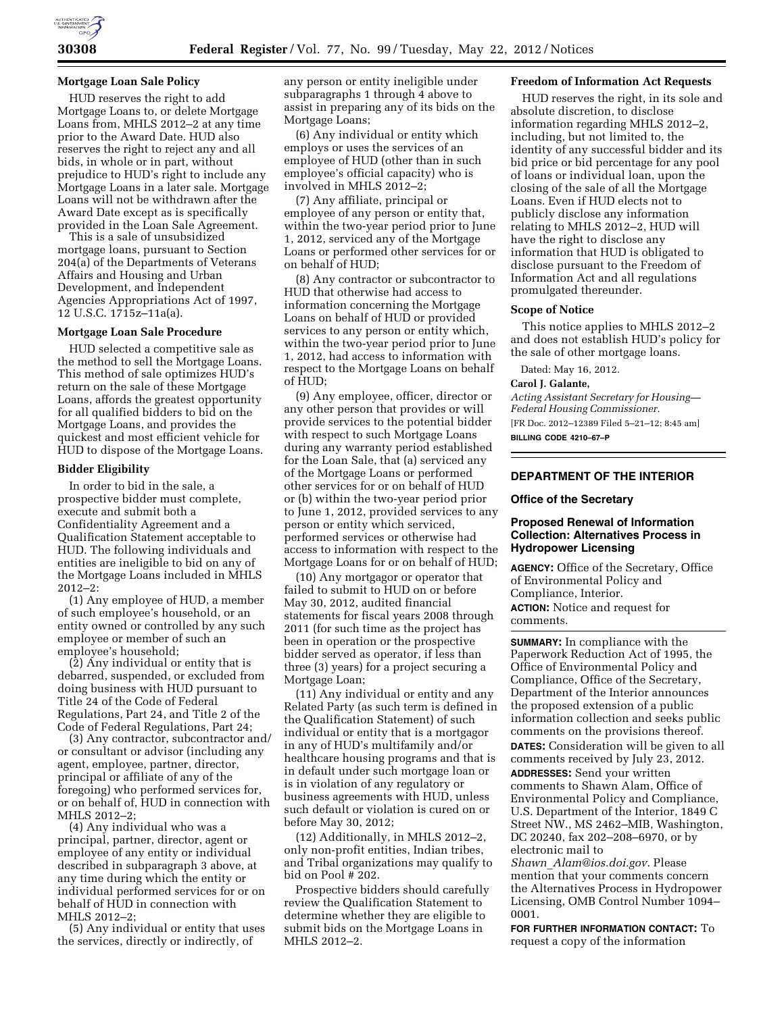

# **Mortgage Loan Sale Policy**

HUD reserves the right to add Mortgage Loans to, or delete Mortgage Loans from, MHLS 2012–2 at any time prior to the Award Date. HUD also reserves the right to reject any and all bids, in whole or in part, without prejudice to HUD's right to include any Mortgage Loans in a later sale. Mortgage Loans will not be withdrawn after the Award Date except as is specifically provided in the Loan Sale Agreement.

This is a sale of unsubsidized mortgage loans, pursuant to Section 204(a) of the Departments of Veterans Affairs and Housing and Urban Development, and Independent Agencies Appropriations Act of 1997, 12 U.S.C. 1715z–11a(a).

# **Mortgage Loan Sale Procedure**

HUD selected a competitive sale as the method to sell the Mortgage Loans. This method of sale optimizes HUD's return on the sale of these Mortgage Loans, affords the greatest opportunity for all qualified bidders to bid on the Mortgage Loans, and provides the quickest and most efficient vehicle for HUD to dispose of the Mortgage Loans.

# **Bidder Eligibility**

In order to bid in the sale, a prospective bidder must complete, execute and submit both a Confidentiality Agreement and a Qualification Statement acceptable to HUD. The following individuals and entities are ineligible to bid on any of the Mortgage Loans included in MHLS  $2012 - 2$ 

(1) Any employee of HUD, a member of such employee's household, or an entity owned or controlled by any such employee or member of such an employee's household;

(2) Any individual or entity that is debarred, suspended, or excluded from doing business with HUD pursuant to Title 24 of the Code of Federal Regulations, Part 24, and Title 2 of the Code of Federal Regulations, Part 24;

(3) Any contractor, subcontractor and/ or consultant or advisor (including any agent, employee, partner, director, principal or affiliate of any of the foregoing) who performed services for, or on behalf of, HUD in connection with MHLS 2012–2;

(4) Any individual who was a principal, partner, director, agent or employee of any entity or individual described in subparagraph 3 above, at any time during which the entity or individual performed services for or on behalf of HUD in connection with MHLS 2012–2;

(5) Any individual or entity that uses the services, directly or indirectly, of

any person or entity ineligible under subparagraphs 1 through 4 above to assist in preparing any of its bids on the Mortgage Loans;

(6) Any individual or entity which employs or uses the services of an employee of HUD (other than in such employee's official capacity) who is involved in MHLS 2012–2;

(7) Any affiliate, principal or employee of any person or entity that, within the two-year period prior to June 1, 2012, serviced any of the Mortgage Loans or performed other services for or on behalf of HUD;

(8) Any contractor or subcontractor to HUD that otherwise had access to information concerning the Mortgage Loans on behalf of HUD or provided services to any person or entity which, within the two-year period prior to June 1, 2012, had access to information with respect to the Mortgage Loans on behalf of HUD;

(9) Any employee, officer, director or any other person that provides or will provide services to the potential bidder with respect to such Mortgage Loans during any warranty period established for the Loan Sale, that (a) serviced any of the Mortgage Loans or performed other services for or on behalf of HUD or (b) within the two-year period prior to June 1, 2012, provided services to any person or entity which serviced, performed services or otherwise had access to information with respect to the Mortgage Loans for or on behalf of HUD;

(10) Any mortgagor or operator that failed to submit to HUD on or before May 30, 2012, audited financial statements for fiscal years 2008 through 2011 (for such time as the project has been in operation or the prospective bidder served as operator, if less than three (3) years) for a project securing a Mortgage Loan;

(11) Any individual or entity and any Related Party (as such term is defined in the Qualification Statement) of such individual or entity that is a mortgagor in any of HUD's multifamily and/or healthcare housing programs and that is in default under such mortgage loan or is in violation of any regulatory or business agreements with HUD, unless such default or violation is cured on or before May 30, 2012;

(12) Additionally, in MHLS 2012–2, only non-profit entities, Indian tribes, and Tribal organizations may qualify to bid on Pool # 202.

Prospective bidders should carefully review the Qualification Statement to determine whether they are eligible to submit bids on the Mortgage Loans in MHLS 2012–2.

# **Freedom of Information Act Requests**

HUD reserves the right, in its sole and absolute discretion, to disclose information regarding MHLS 2012–2, including, but not limited to, the identity of any successful bidder and its bid price or bid percentage for any pool of loans or individual loan, upon the closing of the sale of all the Mortgage Loans. Even if HUD elects not to publicly disclose any information relating to MHLS 2012–2, HUD will have the right to disclose any information that HUD is obligated to disclose pursuant to the Freedom of Information Act and all regulations promulgated thereunder.

## **Scope of Notice**

This notice applies to MHLS 2012–2 and does not establish HUD's policy for the sale of other mortgage loans.

Dated: May 16, 2012.

### **Carol J. Galante,**

*Acting Assistant Secretary for Housing— Federal Housing Commissioner.*  [FR Doc. 2012–12389 Filed 5–21–12; 8:45 am] **BILLING CODE 4210–67–P** 

# **DEPARTMENT OF THE INTERIOR**

### **Office of the Secretary**

# **Proposed Renewal of Information Collection: Alternatives Process in Hydropower Licensing**

**AGENCY:** Office of the Secretary, Office of Environmental Policy and Compliance, Interior.

**ACTION:** Notice and request for comments.

**SUMMARY:** In compliance with the Paperwork Reduction Act of 1995, the Office of Environmental Policy and Compliance, Office of the Secretary, Department of the Interior announces the proposed extension of a public information collection and seeks public comments on the provisions thereof.

**DATES:** Consideration will be given to all comments received by July 23, 2012. **ADDRESSES:** Send your written comments to Shawn Alam, Office of Environmental Policy and Compliance, U.S. Department of the Interior, 1849 C Street NW., MS 2462–MIB, Washington, DC 20240, fax 202–208–6970, or by electronic mail to

*Shawn*\_*[Alam@ios.doi.gov](mailto:Shawn_Alam@ios.doi.gov)*. Please mention that your comments concern the Alternatives Process in Hydropower Licensing, OMB Control Number 1094– 0001.

**FOR FURTHER INFORMATION CONTACT:** To request a copy of the information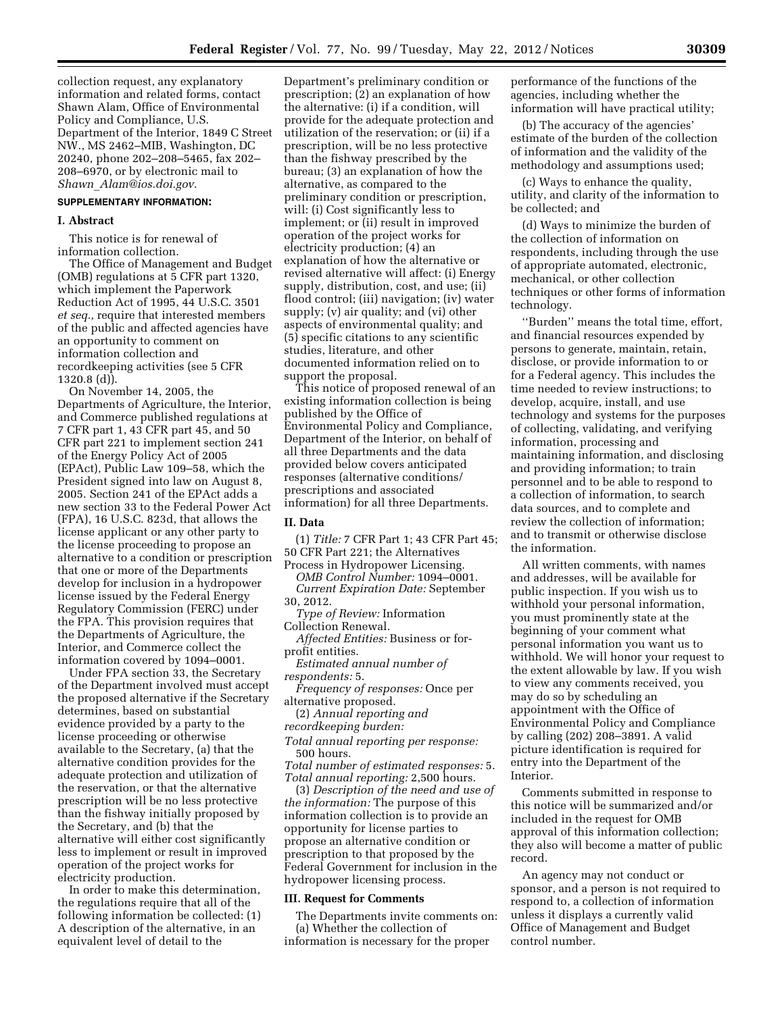collection request, any explanatory information and related forms, contact Shawn Alam, Office of Environmental Policy and Compliance, U.S. Department of the Interior, 1849 C Street NW., MS 2462–MIB, Washington, DC 20240, phone 202–208–5465, fax 202– 208–6970, or by electronic mail to *Shawn*\_*[Alam@ios.doi.gov](mailto:Shawn_Alam@ios.doi.gov)*.

# **SUPPLEMENTARY INFORMATION:**

#### **I. Abstract**

This notice is for renewal of information collection.

The Office of Management and Budget (OMB) regulations at 5 CFR part 1320, which implement the Paperwork Reduction Act of 1995, 44 U.S.C. 3501 *et seq.,* require that interested members of the public and affected agencies have an opportunity to comment on information collection and recordkeeping activities (see 5 CFR 1320.8 (d)).

On November 14, 2005, the Departments of Agriculture, the Interior, and Commerce published regulations at 7 CFR part 1, 43 CFR part 45, and 50 CFR part 221 to implement section 241 of the Energy Policy Act of 2005 (EPAct), Public Law 109–58, which the President signed into law on August 8, 2005. Section 241 of the EPAct adds a new section 33 to the Federal Power Act (FPA), 16 U.S.C. 823d, that allows the license applicant or any other party to the license proceeding to propose an alternative to a condition or prescription that one or more of the Departments develop for inclusion in a hydropower license issued by the Federal Energy Regulatory Commission (FERC) under the FPA. This provision requires that the Departments of Agriculture, the Interior, and Commerce collect the information covered by 1094–0001.

Under FPA section 33, the Secretary of the Department involved must accept the proposed alternative if the Secretary determines, based on substantial evidence provided by a party to the license proceeding or otherwise available to the Secretary, (a) that the alternative condition provides for the adequate protection and utilization of the reservation, or that the alternative prescription will be no less protective than the fishway initially proposed by the Secretary, and (b) that the alternative will either cost significantly less to implement or result in improved operation of the project works for electricity production.

In order to make this determination, the regulations require that all of the following information be collected: (1) A description of the alternative, in an equivalent level of detail to the

Department's preliminary condition or prescription; (2) an explanation of how the alternative: (i) if a condition, will provide for the adequate protection and utilization of the reservation; or (ii) if a prescription, will be no less protective than the fishway prescribed by the bureau; (3) an explanation of how the alternative, as compared to the preliminary condition or prescription, will: (i) Cost significantly less to implement; or (ii) result in improved operation of the project works for electricity production; (4) an explanation of how the alternative or revised alternative will affect: (i) Energy supply, distribution, cost, and use; (ii) flood control; (iii) navigation; (iv) water supply; (v) air quality; and (vi) other aspects of environmental quality; and (5) specific citations to any scientific studies, literature, and other documented information relied on to support the proposal.

This notice of proposed renewal of an existing information collection is being published by the Office of Environmental Policy and Compliance, Department of the Interior, on behalf of all three Departments and the data provided below covers anticipated responses (alternative conditions/ prescriptions and associated information) for all three Departments.

#### **II. Data**

(1) *Title:* 7 CFR Part 1; 43 CFR Part 45; 50 CFR Part 221; the Alternatives

Process in Hydropower Licensing. *OMB Control Number:* 1094–0001.

*Current Expiration Date:* September 30, 2012.

*Type of Review:* Information Collection Renewal.

*Affected Entities:* Business or forprofit entities.

*Estimated annual number of respondents:* 5.

*Frequency of responses:* Once per alternative proposed.

(2) *Annual reporting and* 

*recordkeeping burden:* 

*Total annual reporting per response:*  500 hours.

*Total number of estimated responses:* 5. *Total annual reporting:* 2,500 hours.

(3) *Description of the need and use of the information:* The purpose of this information collection is to provide an opportunity for license parties to propose an alternative condition or prescription to that proposed by the Federal Government for inclusion in the hydropower licensing process.

### **III. Request for Comments**

The Departments invite comments on: (a) Whether the collection of information is necessary for the proper

performance of the functions of the agencies, including whether the information will have practical utility;

(b) The accuracy of the agencies' estimate of the burden of the collection of information and the validity of the methodology and assumptions used;

(c) Ways to enhance the quality, utility, and clarity of the information to be collected; and

(d) Ways to minimize the burden of the collection of information on respondents, including through the use of appropriate automated, electronic, mechanical, or other collection techniques or other forms of information technology.

''Burden'' means the total time, effort, and financial resources expended by persons to generate, maintain, retain, disclose, or provide information to or for a Federal agency. This includes the time needed to review instructions; to develop, acquire, install, and use technology and systems for the purposes of collecting, validating, and verifying information, processing and maintaining information, and disclosing and providing information; to train personnel and to be able to respond to a collection of information, to search data sources, and to complete and review the collection of information; and to transmit or otherwise disclose the information.

All written comments, with names and addresses, will be available for public inspection. If you wish us to withhold your personal information, you must prominently state at the beginning of your comment what personal information you want us to withhold. We will honor your request to the extent allowable by law. If you wish to view any comments received, you may do so by scheduling an appointment with the Office of Environmental Policy and Compliance by calling (202) 208–3891. A valid picture identification is required for entry into the Department of the Interior.

Comments submitted in response to this notice will be summarized and/or included in the request for OMB approval of this information collection; they also will become a matter of public record.

An agency may not conduct or sponsor, and a person is not required to respond to, a collection of information unless it displays a currently valid Office of Management and Budget control number.